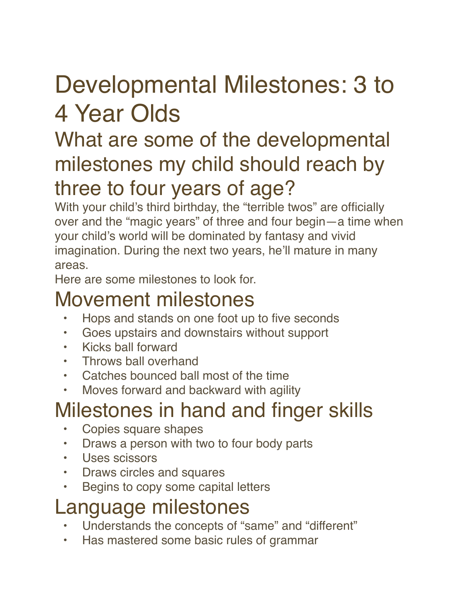# Developmental Milestones: 3 to 4 Year Olds

### What are some of the developmental milestones my child should reach by three to four years of age?

With your child's third birthday, the "terrible twos" are officially over and the "magic years" of three and four begin—a time when your child's world will be dominated by fantasy and vivid imagination. During the next two years, he'll mature in many areas.

Here are some milestones to look for.

### Movement milestones

- Hops and stands on one foot up to five seconds
- Goes upstairs and downstairs without support
- Kicks ball forward
- Throws ball overhand
- Catches bounced ball most of the time
- Moves forward and backward with agility

# Milestones in hand and finger skills

- Copies square shapes
- Draws a person with two to four body parts
- Uses scissors
- Draws circles and squares
- Begins to copy some capital letters

### Language milestones

- Understands the concepts of "same" and "different"
- Has mastered some basic rules of grammar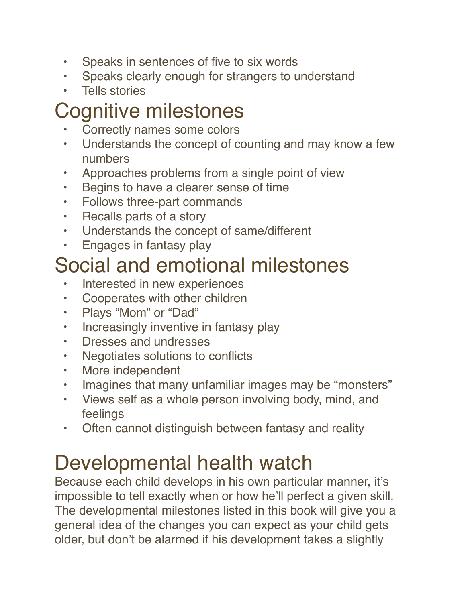- Speaks in sentences of five to six words
- Speaks clearly enough for strangers to understand
- Tells stories

## Cognitive milestones

- Correctly names some colors
- Understands the concept of counting and may know a few numbers
- Approaches problems from a single point of view
- Begins to have a clearer sense of time
- Follows three-part commands
- Recalls parts of a story
- Understands the concept of same/different
- Engages in fantasy play

### Social and emotional milestones

- Interested in new experiences
- Cooperates with other children
- Plays "Mom" or "Dad"
- Increasingly inventive in fantasy play
- Dresses and undresses
- Negotiates solutions to conflicts
- More independent
- Imagines that many unfamiliar images may be "monsters"
- Views self as a whole person involving body, mind, and feelings
- Often cannot distinguish between fantasy and reality

## Developmental health watch

Because each child develops in his own particular manner, it's impossible to tell exactly when or how he'll perfect a given skill. The developmental milestones listed in this book will give you a general idea of the changes you can expect as your child gets older, but don't be alarmed if his development takes a slightly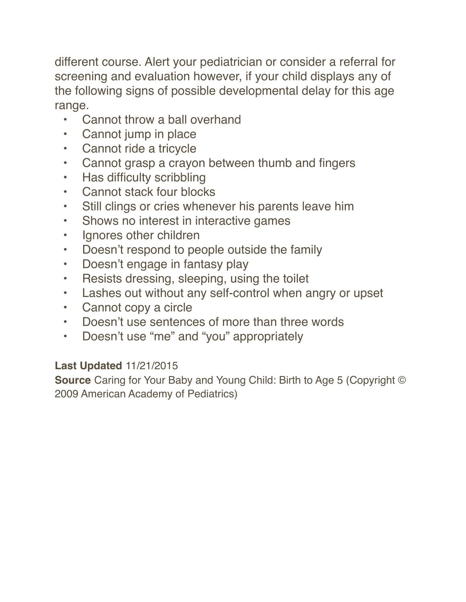different course. Alert your pediatrician or consider a referral for screening and evaluation however, if your child displays any of the following signs of possible developmental delay for this age range.

- Cannot throw a ball overhand
- Cannot jump in place
- Cannot ride a tricycle
- Cannot grasp a crayon between thumb and fingers
- Has difficulty scribbling
- Cannot stack four blocks
- Still clings or cries whenever his parents leave him
- Shows no interest in interactive games
- Ignores other children
- Doesn't respond to people outside the family
- Doesn't engage in fantasy play
- Resists dressing, sleeping, using the toilet
- Lashes out without any self-control when angry or upset
- Cannot copy a circle
- Doesn't use sentences of more than three words
- Doesn't use "me" and "you" appropriately

#### **Last Updated** 11/21/2015

**Source** Caring for Your Baby and Young Child: Birth to Age 5 (Copyright © 2009 American Academy of Pediatrics)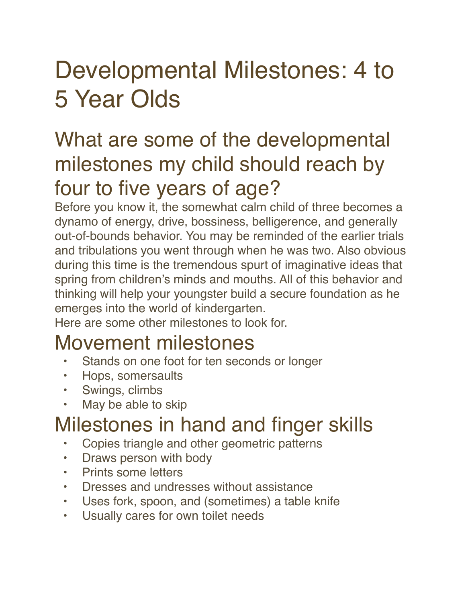# Developmental Milestones: 4 to 5 Year Olds

### What are some of the developmental milestones my child should reach by four to five years of age?

Before you know it, the somewhat calm child of three becomes a dynamo of energy, drive, bossiness, belligerence, and generally out-of-bounds behavior. You may be reminded of the earlier trials and tribulations you went through when he was two. Also obvious during this time is the tremendous spurt of imaginative ideas that spring from children's minds and mouths. All of this behavior and thinking will help your youngster build a secure foundation as he emerges into the world of kindergarten.

Here are some other milestones to look for.

### Movement milestones

- Stands on one foot for ten seconds or longer
- Hops, somersaults
- Swings, climbs
- May be able to skip

## Milestones in hand and finger skills

- Copies triangle and other geometric patterns
- Draws person with body
- Prints some letters
- Dresses and undresses without assistance
- Uses fork, spoon, and (sometimes) a table knife
- Usually cares for own toilet needs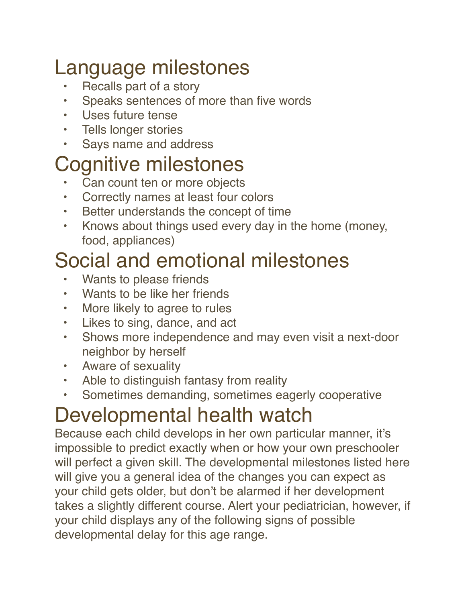## Language milestones

- Recalls part of a story
- Speaks sentences of more than five words
- Uses future tense
- Tells longer stories
- Says name and address

### Cognitive milestones

- Can count ten or more objects
- Correctly names at least four colors
- Better understands the concept of time
- Knows about things used every day in the home (money, food, appliances)

### Social and emotional milestones

- Wants to please friends
- Wants to be like her friends
- More likely to agree to rules
- Likes to sing, dance, and act
- Shows more independence and may even visit a next-door neighbor by herself
- Aware of sexuality
- Able to distinguish fantasy from reality
- Sometimes demanding, sometimes eagerly cooperative

# Developmental health watch

Because each child develops in her own particular manner, it's impossible to predict exactly when or how your own preschooler will perfect a given skill. The developmental milestones listed here will give you a general idea of the changes you can expect as your child gets older, but don't be alarmed if her development takes a slightly different course. Alert your pediatrician, however, if your child displays any of the following signs of possible developmental delay for this age range.